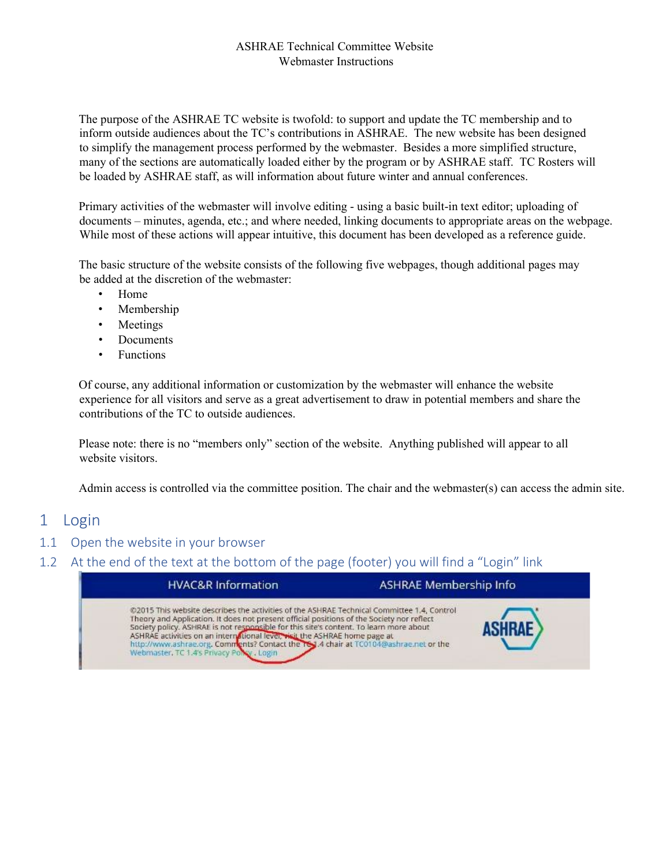#### ASHRAE Technical Committee Website Webmaster Instructions

The purpose of the ASHRAE TC website is twofold: to support and update the TC membership and to inform outside audiences about the TC's contributions in ASHRAE. The new website has been designed to simplify the management process performed by the webmaster. Besides a more simplified structure, many of the sections are automatically loaded either by the program or by ASHRAE staff. TC Rosters will be loaded by ASHRAE staff, as will information about future winter and annual conferences.

Primary activities of the webmaster will involve editing - using a basic built-in text editor; uploading of documents – minutes, agenda, etc.; and where needed, linking documents to appropriate areas on the webpage. While most of these actions will appear intuitive, this document has been developed as a reference guide.

The basic structure of the website consists of the following five webpages, though additional pages may be added at the discretion of the webmaster:

- Home
- Membership
- **Meetings**
- Documents
- Functions

Of course, any additional information or customization by the webmaster will enhance the website experience for all visitors and serve as a great advertisement to draw in potential members and share the contributions of the TC to outside audiences.

Please note: there is no "members only" section of the website. Anything published will appear to all website visitors.

Admin access is controlled via the committee position. The chair and the webmaster(s) can access the admin site.

#### 1 Login

#### 1.1 Open the website in your browser

1.2 At the end of the text at the bottom of the page (footer) you will find a "Login" link